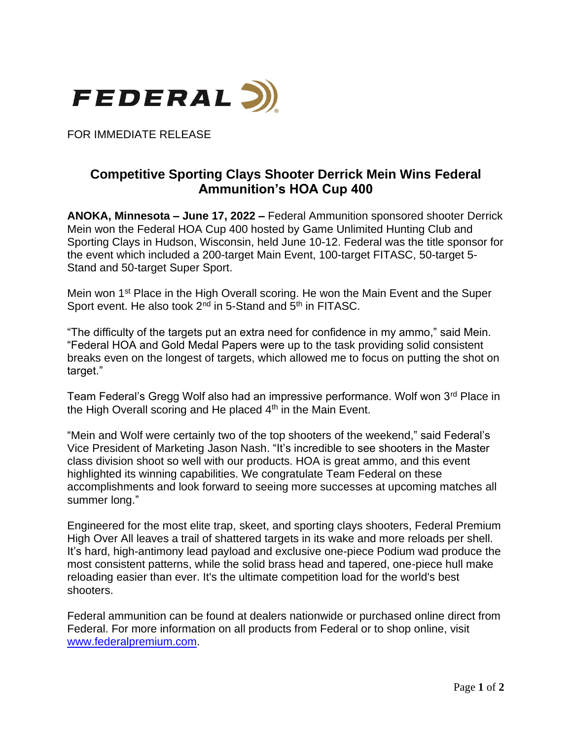

FOR IMMEDIATE RELEASE

## **Competitive Sporting Clays Shooter Derrick Mein Wins Federal Ammunition's HOA Cup 400**

**ANOKA, Minnesota – June 17, 2022 –** Federal Ammunition sponsored shooter Derrick Mein won the Federal HOA Cup 400 hosted by Game Unlimited Hunting Club and Sporting Clays in Hudson, Wisconsin, held June 10-12. Federal was the title sponsor for the event which included a 200-target Main Event, 100-target FITASC, 50-target 5- Stand and 50-target Super Sport.

Mein won 1<sup>st</sup> Place in the High Overall scoring. He won the Main Event and the Super Sport event. He also took 2<sup>nd</sup> in 5-Stand and 5<sup>th</sup> in FITASC.

"The difficulty of the targets put an extra need for confidence in my ammo," said Mein. "Federal HOA and Gold Medal Papers were up to the task providing solid consistent breaks even on the longest of targets, which allowed me to focus on putting the shot on target."

Team Federal's Gregg Wolf also had an impressive performance. Wolf won 3<sup>rd</sup> Place in the High Overall scoring and He placed  $4<sup>th</sup>$  in the Main Event.

"Mein and Wolf were certainly two of the top shooters of the weekend," said Federal's Vice President of Marketing Jason Nash. "It's incredible to see shooters in the Master class division shoot so well with our products. HOA is great ammo, and this event highlighted its winning capabilities. We congratulate Team Federal on these accomplishments and look forward to seeing more successes at upcoming matches all summer long."

Engineered for the most elite trap, skeet, and sporting clays shooters, Federal Premium High Over All leaves a trail of shattered targets in its wake and more reloads per shell. It's hard, high-antimony lead payload and exclusive one-piece Podium wad produce the most consistent patterns, while the solid brass head and tapered, one-piece hull make reloading easier than ever. It's the ultimate competition load for the world's best shooters.

Federal ammunition can be found at dealers nationwide or purchased online direct from Federal. For more information on all products from Federal or to shop online, visit [www.federalpremium.com.](http://www.federalpremium.com/)